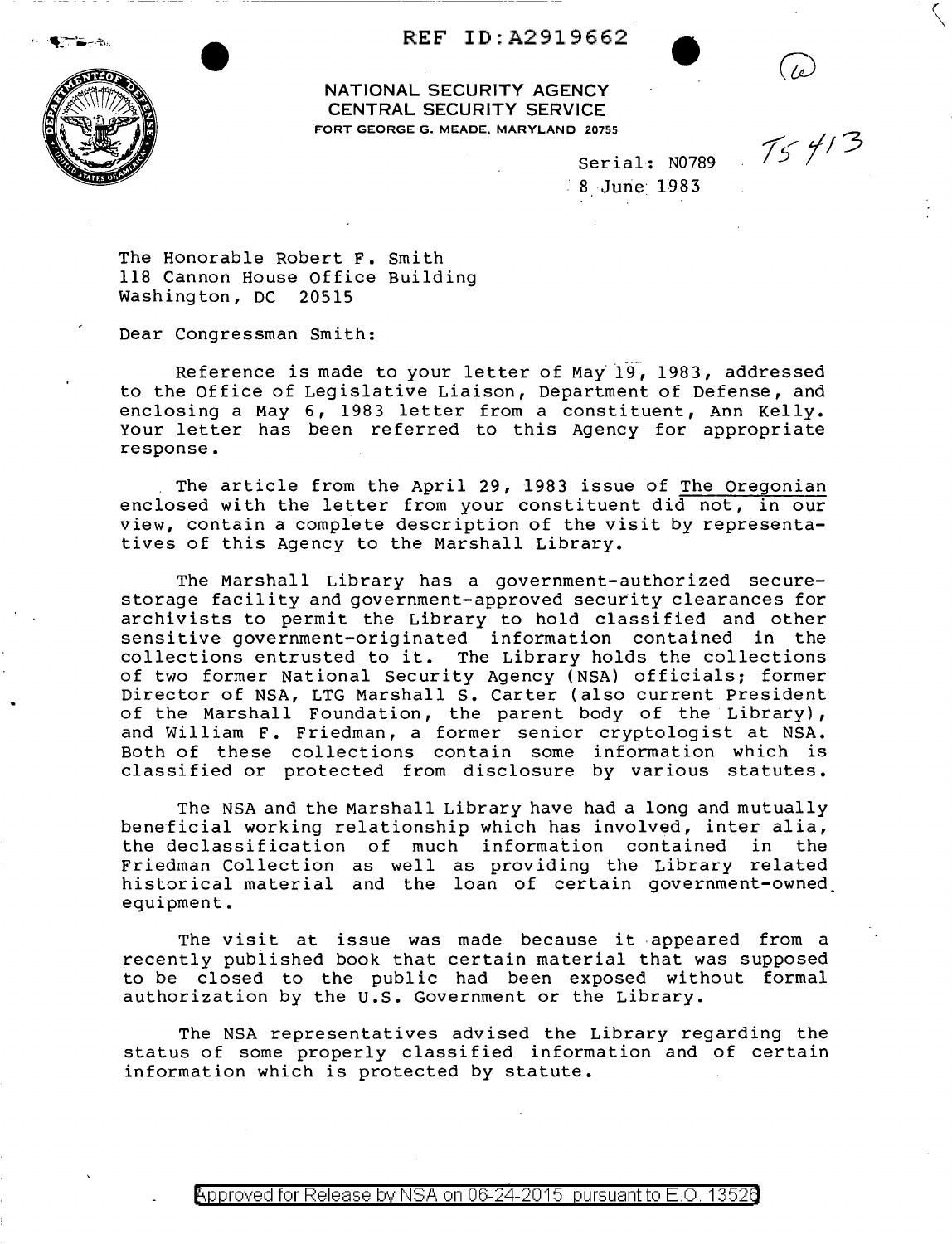## **REF** ID:A2919662



**NATIONAL SECURITY AGENCY CENTRAL SECURITY SERVICE**  .FORT GEORGE G. MEADE, MARYLAND 20755

Serial: N0789  $\frac{1}{20755}$ <br>Serial: N0789  $\frac{7}{5}$  4/3 8 June 1983

The Honorable Robert F. Smith 118 Cannon House Office Building Washington, DC 20515

Dear Congressman Smith:

Reference is made to your letter of May  $197$ , 1983, addressed to the Office of Legislative Liaison, Department of Defense, and enclosing a May 6, 1983 letter from a constituent, Ann Kelly. Your letter has been referred to this Agency for appropriate response.

The article from the April 29, 1983 issue of The Oregonian enclosed with the letter from your constituent did not, in our view, contain a compiete description of the visit by representatives of this Agency to the Marshall Library.

The Marshall Library has a government-authorized securestorage facility and government-approved security clearances for archivists to permit the Library to hold classified and other sensitive government-originated information contained in the collections entrusted to it. The Library holds the collections of two former National Security Agency (NSA) officials; former Director of NSA, LTG Marshall s. Carter (also current President of the Marshall Foundation, the parent body of the Library), and William F. Friedman, a former senior cryptologist at NSA. Both of these collections contain some information which is classified or protected from disclosure by various statutes.

The NSA and the Marshall Library have had a long and mutually beneficial working relationship which has involved, inter alia, the declassification of much information contained in the Friedman Collection as well as providing the Library related historical material and the loan of certain government-owned\_ equipment.

The visit at issue was made because it appeared from a recently pubiished book that certain material that was supposed to be closed to the public had been exposed without formal authorization by the U.S. Government or the Library.

The NSA representatives advised the Library regarding the status of some properly classified information and of certain information which is protected by statute.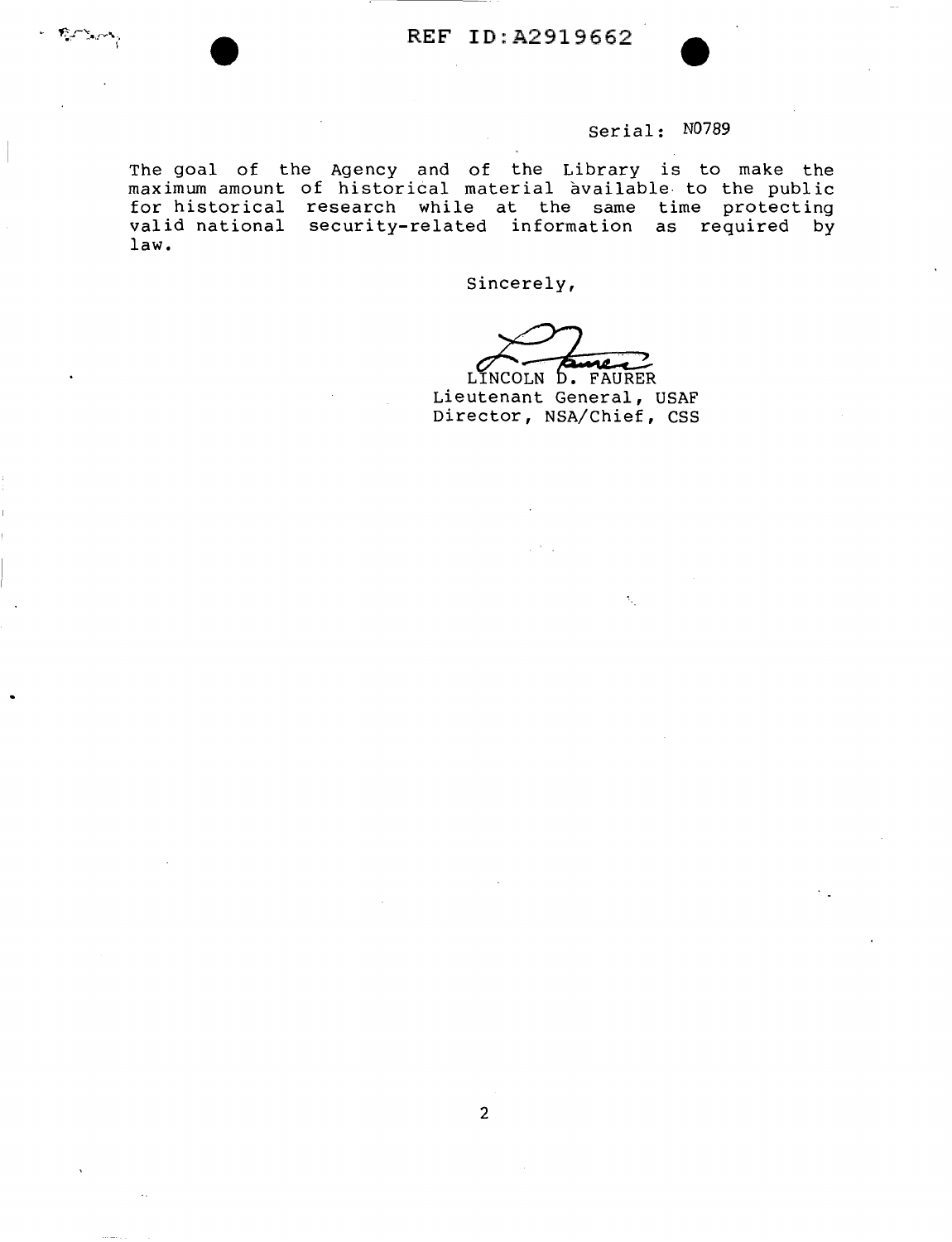## Serial: N0789

The goal of the Agency and of the Library is to make the maximum amount of historical material available to the public for historical research while at the same time protecting valid national security-related information as required by law.

Sincerely,

LINCOLN D. FAURER Lieutenant General, USAF Director, NSA/Chief, CSS